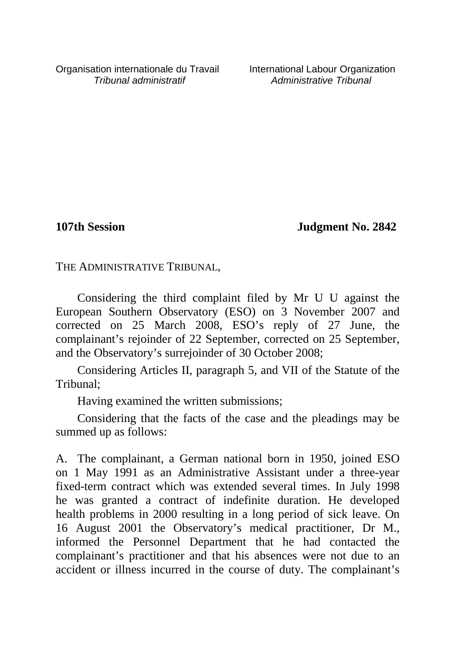Organisation internationale du Travail International Labour Organization<br>*International administratif* Administrative Tribunal

Administrative Tribunal

**107th Session Judgment No. 2842**

THE ADMINISTRATIVE TRIBUNAL,

Considering the third complaint filed by Mr U U against the European Southern Observatory (ESO) on 3 November 2007 and corrected on 25 March 2008, ESO's reply of 27 June, the complainant's rejoinder of 22 September, corrected on 25 September, and the Observatory's surrejoinder of 30 October 2008;

Considering Articles II, paragraph 5, and VII of the Statute of the Tribunal;

Having examined the written submissions;

Considering that the facts of the case and the pleadings may be summed up as follows:

A. The complainant, a German national born in 1950, joined ESO on 1 May 1991 as an Administrative Assistant under a three-year fixed-term contract which was extended several times. In July 1998 he was granted a contract of indefinite duration. He developed health problems in 2000 resulting in a long period of sick leave. On 16 August 2001 the Observatory's medical practitioner, Dr M., informed the Personnel Department that he had contacted the complainant's practitioner and that his absences were not due to an accident or illness incurred in the course of duty. The complainant's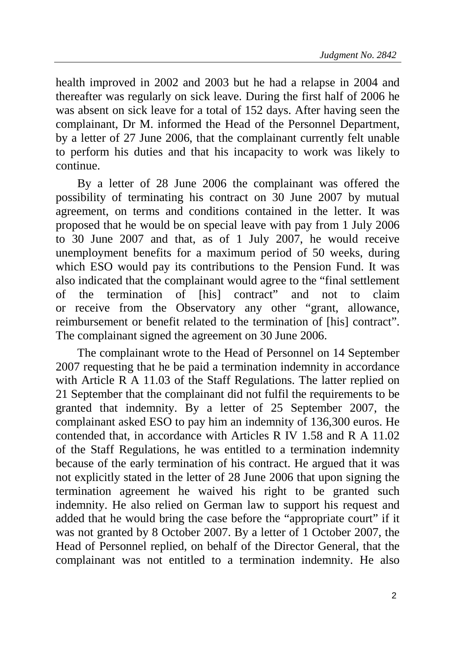health improved in 2002 and 2003 but he had a relapse in 2004 and thereafter was regularly on sick leave. During the first half of 2006 he was absent on sick leave for a total of 152 days. After having seen the complainant, Dr M. informed the Head of the Personnel Department, by a letter of 27 June 2006, that the complainant currently felt unable to perform his duties and that his incapacity to work was likely to continue.

By a letter of 28 June 2006 the complainant was offered the possibility of terminating his contract on 30 June 2007 by mutual agreement, on terms and conditions contained in the letter. It was proposed that he would be on special leave with pay from 1 July 2006 to 30 June 2007 and that, as of 1 July 2007, he would receive unemployment benefits for a maximum period of 50 weeks, during which ESO would pay its contributions to the Pension Fund. It was also indicated that the complainant would agree to the "final settlement of the termination of [his] contract" and not to claim or receive from the Observatory any other "grant, allowance, reimbursement or benefit related to the termination of [his] contract". The complainant signed the agreement on 30 June 2006.

The complainant wrote to the Head of Personnel on 14 September 2007 requesting that he be paid a termination indemnity in accordance with Article R A 11.03 of the Staff Regulations. The latter replied on 21 September that the complainant did not fulfil the requirements to be granted that indemnity. By a letter of 25 September 2007, the complainant asked ESO to pay him an indemnity of 136,300 euros. He contended that, in accordance with Articles R IV 1.58 and R A 11.02 of the Staff Regulations, he was entitled to a termination indemnity because of the early termination of his contract. He argued that it was not explicitly stated in the letter of 28 June 2006 that upon signing the termination agreement he waived his right to be granted such indemnity. He also relied on German law to support his request and added that he would bring the case before the "appropriate court" if it was not granted by 8 October 2007. By a letter of 1 October 2007, the Head of Personnel replied, on behalf of the Director General, that the complainant was not entitled to a termination indemnity. He also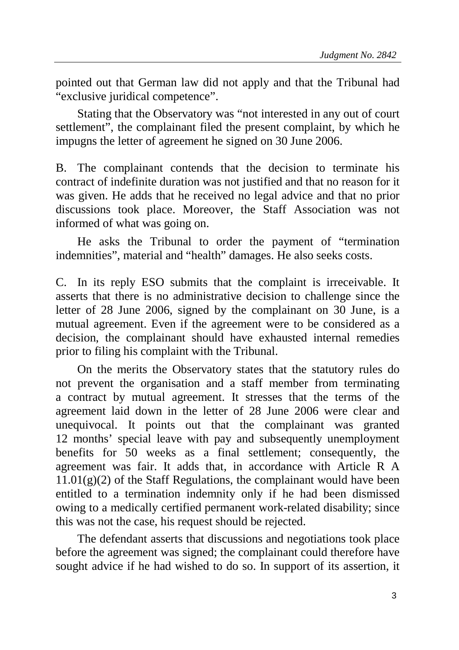pointed out that German law did not apply and that the Tribunal had "exclusive juridical competence".

Stating that the Observatory was "not interested in any out of court settlement", the complainant filed the present complaint, by which he impugns the letter of agreement he signed on 30 June 2006.

B. The complainant contends that the decision to terminate his contract of indefinite duration was not justified and that no reason for it was given. He adds that he received no legal advice and that no prior discussions took place. Moreover, the Staff Association was not informed of what was going on.

He asks the Tribunal to order the payment of "termination indemnities", material and "health" damages. He also seeks costs.

C. In its reply ESO submits that the complaint is irreceivable. It asserts that there is no administrative decision to challenge since the letter of 28 June 2006, signed by the complainant on 30 June, is a mutual agreement. Even if the agreement were to be considered as a decision, the complainant should have exhausted internal remedies prior to filing his complaint with the Tribunal.

On the merits the Observatory states that the statutory rules do not prevent the organisation and a staff member from terminating a contract by mutual agreement. It stresses that the terms of the agreement laid down in the letter of 28 June 2006 were clear and unequivocal. It points out that the complainant was granted 12 months' special leave with pay and subsequently unemployment benefits for 50 weeks as a final settlement; consequently, the agreement was fair. It adds that, in accordance with Article R A  $11.01(g)(2)$  of the Staff Regulations, the complainant would have been entitled to a termination indemnity only if he had been dismissed owing to a medically certified permanent work-related disability; since this was not the case, his request should be rejected.

The defendant asserts that discussions and negotiations took place before the agreement was signed; the complainant could therefore have sought advice if he had wished to do so. In support of its assertion, it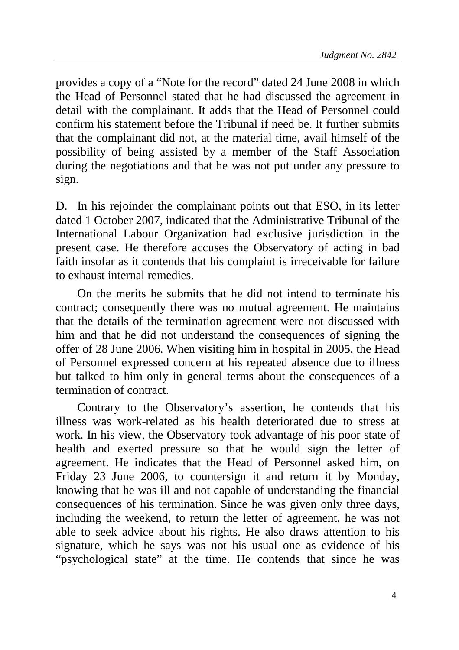provides a copy of a "Note for the record" dated 24 June 2008 in which the Head of Personnel stated that he had discussed the agreement in detail with the complainant. It adds that the Head of Personnel could confirm his statement before the Tribunal if need be. It further submits that the complainant did not, at the material time, avail himself of the possibility of being assisted by a member of the Staff Association during the negotiations and that he was not put under any pressure to sign.

D. In his rejoinder the complainant points out that ESO, in its letter dated 1 October 2007, indicated that the Administrative Tribunal of the International Labour Organization had exclusive jurisdiction in the present case. He therefore accuses the Observatory of acting in bad faith insofar as it contends that his complaint is irreceivable for failure to exhaust internal remedies.

On the merits he submits that he did not intend to terminate his contract; consequently there was no mutual agreement. He maintains that the details of the termination agreement were not discussed with him and that he did not understand the consequences of signing the offer of 28 June 2006. When visiting him in hospital in 2005, the Head of Personnel expressed concern at his repeated absence due to illness but talked to him only in general terms about the consequences of a termination of contract.

Contrary to the Observatory's assertion, he contends that his illness was work-related as his health deteriorated due to stress at work. In his view, the Observatory took advantage of his poor state of health and exerted pressure so that he would sign the letter of agreement. He indicates that the Head of Personnel asked him, on Friday 23 June 2006, to countersign it and return it by Monday, knowing that he was ill and not capable of understanding the financial consequences of his termination. Since he was given only three days, including the weekend, to return the letter of agreement, he was not able to seek advice about his rights. He also draws attention to his signature, which he says was not his usual one as evidence of his "psychological state" at the time. He contends that since he was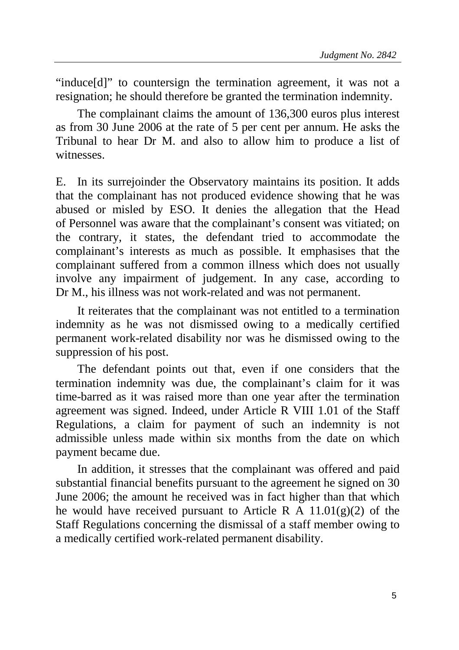"induce[d]" to countersign the termination agreement, it was not a resignation; he should therefore be granted the termination indemnity.

The complainant claims the amount of 136,300 euros plus interest as from 30 June 2006 at the rate of 5 per cent per annum. He asks the Tribunal to hear Dr M. and also to allow him to produce a list of witnesses.

E. In its surrejoinder the Observatory maintains its position. It adds that the complainant has not produced evidence showing that he was abused or misled by ESO. It denies the allegation that the Head of Personnel was aware that the complainant's consent was vitiated; on the contrary, it states, the defendant tried to accommodate the complainant's interests as much as possible. It emphasises that the complainant suffered from a common illness which does not usually involve any impairment of judgement. In any case, according to Dr M., his illness was not work-related and was not permanent.

It reiterates that the complainant was not entitled to a termination indemnity as he was not dismissed owing to a medically certified permanent work-related disability nor was he dismissed owing to the suppression of his post.

The defendant points out that, even if one considers that the termination indemnity was due, the complainant's claim for it was time-barred as it was raised more than one year after the termination agreement was signed. Indeed, under Article R VIII 1.01 of the Staff Regulations, a claim for payment of such an indemnity is not admissible unless made within six months from the date on which payment became due.

In addition, it stresses that the complainant was offered and paid substantial financial benefits pursuant to the agreement he signed on 30 June 2006; the amount he received was in fact higher than that which he would have received pursuant to Article R A 11.01(g)(2) of the Staff Regulations concerning the dismissal of a staff member owing to a medically certified work-related permanent disability.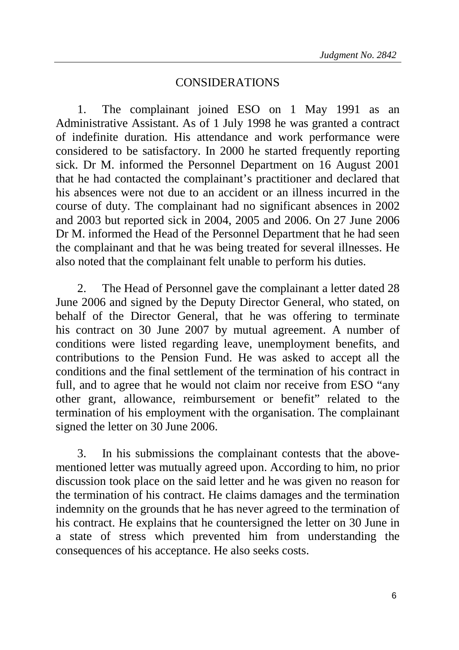## CONSIDERATIONS

1. The complainant joined ESO on 1 May 1991 as an Administrative Assistant. As of 1 July 1998 he was granted a contract of indefinite duration. His attendance and work performance were considered to be satisfactory. In 2000 he started frequently reporting sick. Dr M. informed the Personnel Department on 16 August 2001 that he had contacted the complainant's practitioner and declared that his absences were not due to an accident or an illness incurred in the course of duty. The complainant had no significant absences in 2002 and 2003 but reported sick in 2004, 2005 and 2006. On 27 June 2006 Dr M. informed the Head of the Personnel Department that he had seen the complainant and that he was being treated for several illnesses. He also noted that the complainant felt unable to perform his duties.

2. The Head of Personnel gave the complainant a letter dated 28 June 2006 and signed by the Deputy Director General, who stated, on behalf of the Director General, that he was offering to terminate his contract on 30 June 2007 by mutual agreement. A number of conditions were listed regarding leave, unemployment benefits, and contributions to the Pension Fund. He was asked to accept all the conditions and the final settlement of the termination of his contract in full, and to agree that he would not claim nor receive from ESO "any other grant, allowance, reimbursement or benefit" related to the termination of his employment with the organisation. The complainant signed the letter on 30 June 2006.

3. In his submissions the complainant contests that the abovementioned letter was mutually agreed upon. According to him, no prior discussion took place on the said letter and he was given no reason for the termination of his contract. He claims damages and the termination indemnity on the grounds that he has never agreed to the termination of his contract. He explains that he countersigned the letter on 30 June in a state of stress which prevented him from understanding the consequences of his acceptance. He also seeks costs.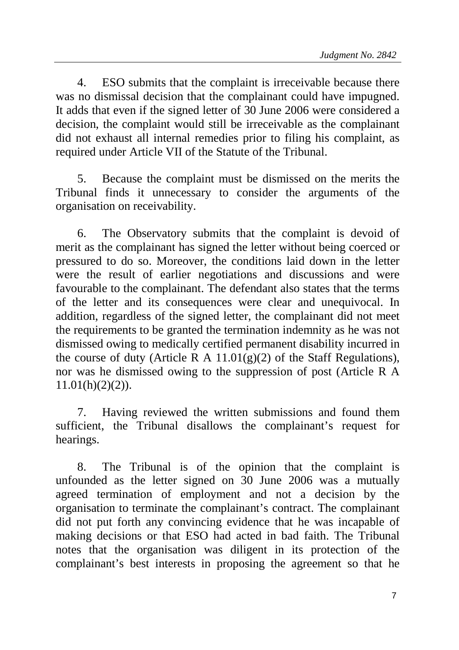4. ESO submits that the complaint is irreceivable because there was no dismissal decision that the complainant could have impugned. It adds that even if the signed letter of 30 June 2006 were considered a decision, the complaint would still be irreceivable as the complainant did not exhaust all internal remedies prior to filing his complaint, as required under Article VII of the Statute of the Tribunal.

5. Because the complaint must be dismissed on the merits the Tribunal finds it unnecessary to consider the arguments of the organisation on receivability.

6. The Observatory submits that the complaint is devoid of merit as the complainant has signed the letter without being coerced or pressured to do so. Moreover, the conditions laid down in the letter were the result of earlier negotiations and discussions and were favourable to the complainant. The defendant also states that the terms of the letter and its consequences were clear and unequivocal. In addition, regardless of the signed letter, the complainant did not meet the requirements to be granted the termination indemnity as he was not dismissed owing to medically certified permanent disability incurred in the course of duty (Article R A  $11.01(g)(2)$  of the Staff Regulations), nor was he dismissed owing to the suppression of post (Article R A  $11.01(h)(2)(2)$ ).

7. Having reviewed the written submissions and found them sufficient, the Tribunal disallows the complainant's request for hearings.

8. The Tribunal is of the opinion that the complaint is unfounded as the letter signed on 30 June 2006 was a mutually agreed termination of employment and not a decision by the organisation to terminate the complainant's contract. The complainant did not put forth any convincing evidence that he was incapable of making decisions or that ESO had acted in bad faith. The Tribunal notes that the organisation was diligent in its protection of the complainant's best interests in proposing the agreement so that he